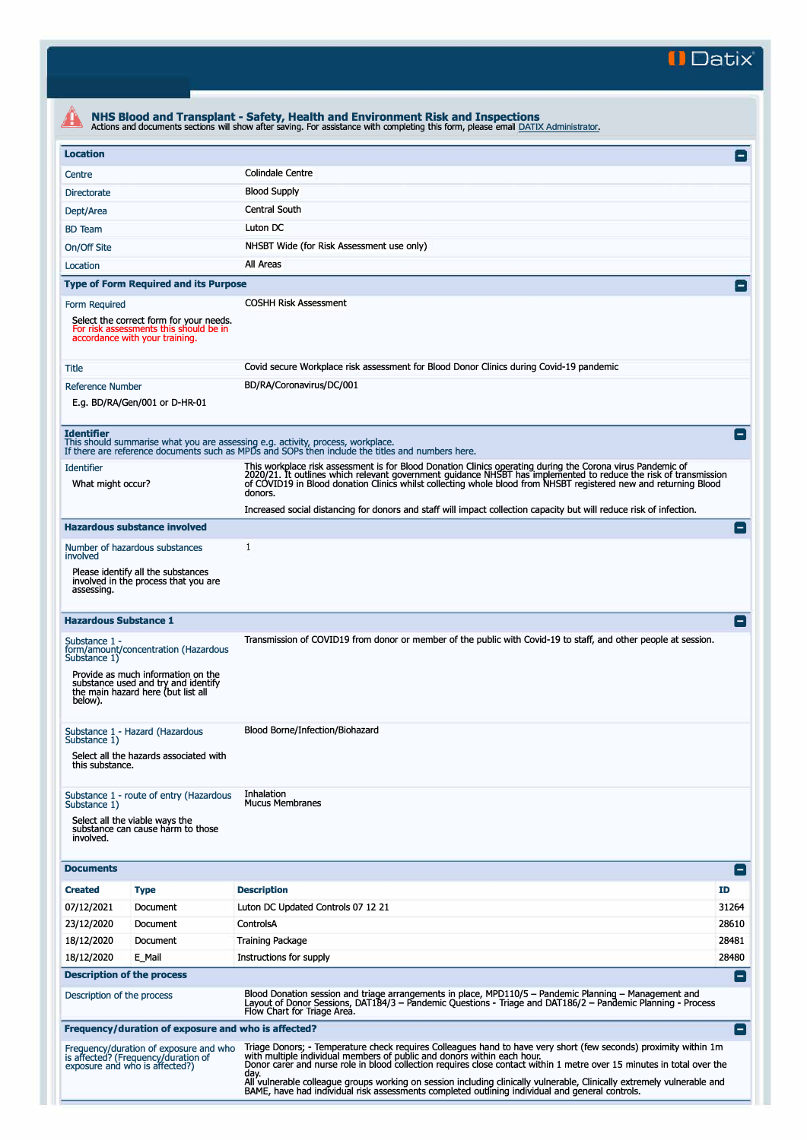**II Datix"** 

| <b>Location</b>                                                                                                                                               |                                                                                                                                                         |                                                                                                                                                                                                                                                                                                                                                               | $\mathsf{I}$    |
|---------------------------------------------------------------------------------------------------------------------------------------------------------------|---------------------------------------------------------------------------------------------------------------------------------------------------------|---------------------------------------------------------------------------------------------------------------------------------------------------------------------------------------------------------------------------------------------------------------------------------------------------------------------------------------------------------------|-----------------|
|                                                                                                                                                               |                                                                                                                                                         | <b>Colindale Centre</b>                                                                                                                                                                                                                                                                                                                                       |                 |
| Centre                                                                                                                                                        |                                                                                                                                                         |                                                                                                                                                                                                                                                                                                                                                               |                 |
| <b>Directorate</b>                                                                                                                                            |                                                                                                                                                         | <b>Blood Supply</b>                                                                                                                                                                                                                                                                                                                                           |                 |
| Dept/Area                                                                                                                                                     |                                                                                                                                                         | <b>Central South</b>                                                                                                                                                                                                                                                                                                                                          |                 |
| <b>BD</b> Team                                                                                                                                                |                                                                                                                                                         | Luton DC                                                                                                                                                                                                                                                                                                                                                      |                 |
| On/Off Site                                                                                                                                                   |                                                                                                                                                         | NHSBT Wide (for Risk Assessment use only)                                                                                                                                                                                                                                                                                                                     |                 |
| Location                                                                                                                                                      |                                                                                                                                                         | All Areas                                                                                                                                                                                                                                                                                                                                                     |                 |
|                                                                                                                                                               | <b>Type of Form Required and its Purpose</b>                                                                                                            |                                                                                                                                                                                                                                                                                                                                                               | $\vert - \vert$ |
| Form Required                                                                                                                                                 | Select the correct form for your needs.<br>For risk assessments this should be in<br>accordance with your training.                                     | <b>COSHH Risk Assessment</b>                                                                                                                                                                                                                                                                                                                                  |                 |
| Title                                                                                                                                                         |                                                                                                                                                         | Covid secure Workplace risk assessment for Blood Donor Clinics during Covid-19 pandemic                                                                                                                                                                                                                                                                       |                 |
| <b>Reference Number</b>                                                                                                                                       | E.g. BD/RA/Gen/001 or D-HR-01                                                                                                                           | BD/RA/Coronavirus/DC/001                                                                                                                                                                                                                                                                                                                                      |                 |
| <b>Identifier</b>                                                                                                                                             |                                                                                                                                                         | This should summarise what you are assessing e.g. activity, process, workplace.<br>If there are reference documents such as MPDs and SOPs then include the titles and numbers here.                                                                                                                                                                           |                 |
| <b>Identifier</b><br>What might occur?                                                                                                                        |                                                                                                                                                         | This workplace risk assessment is for Blood Donation Clinics operating during the Corona virus Pandemic of<br>2020/21. It outlines which relevant government quidance NHSBT has implemented to reduce the risk of transmission<br>of COVID19 in Blood donation Clinics whilst collecting whole blood from NHSBT registered new and returning Blood<br>donors. |                 |
|                                                                                                                                                               |                                                                                                                                                         | Increased social distancing for donors and staff will impact collection capacity but will reduce risk of infection.                                                                                                                                                                                                                                           |                 |
|                                                                                                                                                               | <b>Hazardous substance involved</b>                                                                                                                     |                                                                                                                                                                                                                                                                                                                                                               | $\equiv$        |
| involved                                                                                                                                                      | Number of hazardous substances                                                                                                                          | 1                                                                                                                                                                                                                                                                                                                                                             |                 |
| assessing.                                                                                                                                                    | Please identify all the substances<br>involved in the process that you are                                                                              |                                                                                                                                                                                                                                                                                                                                                               |                 |
|                                                                                                                                                               |                                                                                                                                                         |                                                                                                                                                                                                                                                                                                                                                               |                 |
| <b>Hazardous Substance 1</b>                                                                                                                                  |                                                                                                                                                         |                                                                                                                                                                                                                                                                                                                                                               |                 |
| Substance 1)<br>below).                                                                                                                                       | form/amount/concentration (Hazardous<br>Provide as much information on the<br>substance used and try and identify<br>the main hazard here (but list all | Transmission of COVID19 from donor or member of the public with Covid-19 to staff, and other people at session.                                                                                                                                                                                                                                               |                 |
| Substance 1 -<br>Substance 1)<br>this substance.                                                                                                              | Substance 1 - Hazard (Hazardous<br>Select all the hazards associated with                                                                               | Blood Borne/Infection/Biohazard                                                                                                                                                                                                                                                                                                                               |                 |
| Substance 1)<br>involved.                                                                                                                                     | Substance 1 - route of entry (Hazardous<br>Select all the viable ways the<br>substance can cause harm to those                                          | Inhalation<br><b>Mucus Membranes</b>                                                                                                                                                                                                                                                                                                                          |                 |
|                                                                                                                                                               |                                                                                                                                                         |                                                                                                                                                                                                                                                                                                                                                               | Ε               |
|                                                                                                                                                               | <b>Type</b>                                                                                                                                             | <b>Description</b>                                                                                                                                                                                                                                                                                                                                            | ID              |
|                                                                                                                                                               | Document                                                                                                                                                | Luton DC Updated Controls 07 12 21                                                                                                                                                                                                                                                                                                                            | 31264           |
|                                                                                                                                                               | Document                                                                                                                                                | ControlsA                                                                                                                                                                                                                                                                                                                                                     | 28610           |
|                                                                                                                                                               | Document                                                                                                                                                | <b>Training Package</b>                                                                                                                                                                                                                                                                                                                                       | 28481           |
|                                                                                                                                                               | E Mail                                                                                                                                                  | Instructions for supply                                                                                                                                                                                                                                                                                                                                       | 28480           |
|                                                                                                                                                               |                                                                                                                                                         |                                                                                                                                                                                                                                                                                                                                                               | Е.              |
|                                                                                                                                                               |                                                                                                                                                         | Blood Donation session and triage arrangements in place, MPD110/5 - Pandemic Planning - Management and<br>Layout of Donor Sessions, DAT184/3 – Pandemic Questions - Triage and DAT186/2 – Pandemic Planning - Process<br>Flow Chart for Triage Area.                                                                                                          |                 |
| <b>Documents</b><br><b>Created</b><br>07/12/2021<br>23/12/2020<br>18/12/2020<br>18/12/2020<br><b>Description of the process</b><br>Description of the process | Frequency/duration of exposure and who is affected?                                                                                                     |                                                                                                                                                                                                                                                                                                                                                               | E               |